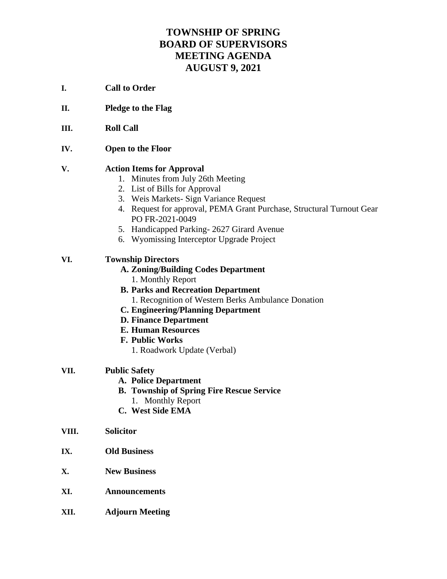# **TOWNSHIP OF SPRING BOARD OF SUPERVISORS MEETING AGENDA AUGUST 9, 2021**

- **I. Call to Order**
- **II. Pledge to the Flag**
- **III. Roll Call**
- **IV. Open to the Floor**

### **V. Action Items for Approval**

- 1. Minutes from July 26th Meeting
- 2. List of Bills for Approval
- 3. Weis Markets- Sign Variance Request
- 4. Request for approval, PEMA Grant Purchase, Structural Turnout Gear PO FR-2021-0049
- 5. Handicapped Parking- 2627 Girard Avenue
- 6. Wyomissing Interceptor Upgrade Project

## **VI. Township Directors**

- **A. Zoning/Building Codes Department** 1. Monthly Report
- **B. Parks and Recreation Department** 1. Recognition of Western Berks Ambulance Donation
- **C. Engineering/Planning Department**
- **D. Finance Department**
- **E. Human Resources**
- **F. Public Works**
	- 1. Roadwork Update (Verbal)

### **VII. Public Safety**

- **A. Police Department**
- **B. Township of Spring Fire Rescue Service**
	- 1. Monthly Report
- **C. West Side EMA**
- **VIII. Solicitor**
- **IX. Old Business**
- **X. New Business**
- **XI. Announcements**
- **XII. Adjourn Meeting**